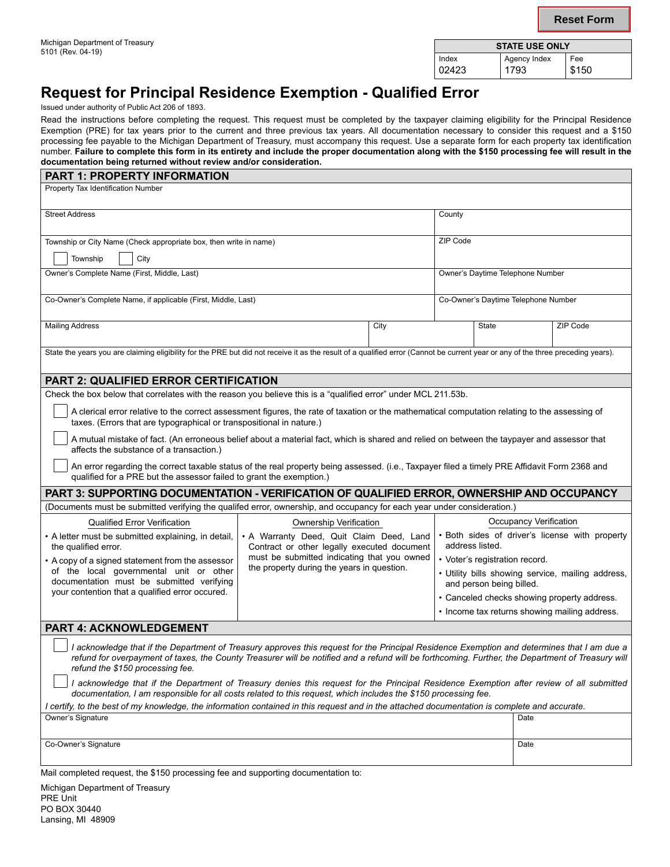| Michigan Department of Treasury<br>5101 (Rev. 04-19) | <b>STATE USE ONLY</b> |              |       |  |
|------------------------------------------------------|-----------------------|--------------|-------|--|
|                                                      | Index                 | Agency Index | Fee   |  |
|                                                      | 02423                 | 1793         | \$150 |  |

# **Request for Principal Residence Exemption - Qualified Error**

Issued under authority of Public Act 206 of 1893.

Read the instructions before completing the request. This request must be completed by the taxpayer claiming eligibility for the Principal Residence Exemption (PRE) for tax years prior to the current and three previous tax years. All documentation necessary to consider this request and a \$150 processing fee payable to the Michigan Department of Treasury, must accompany this request. Use a separate form for each property tax identification number. **Failure to complete this form in its entirety and include the proper documentation along with the \$150 processing fee will result in the documentation being returned without review and/or consideration.**

| <b>PART 1: PROPERTY INFORMATION</b>                                                                                                                                                                                                                                                                                                  |                                                                                         |                                               |                                                                               |              |      |          |  |  |
|--------------------------------------------------------------------------------------------------------------------------------------------------------------------------------------------------------------------------------------------------------------------------------------------------------------------------------------|-----------------------------------------------------------------------------------------|-----------------------------------------------|-------------------------------------------------------------------------------|--------------|------|----------|--|--|
| Property Tax Identification Number                                                                                                                                                                                                                                                                                                   |                                                                                         |                                               |                                                                               |              |      |          |  |  |
| <b>Street Address</b>                                                                                                                                                                                                                                                                                                                |                                                                                         |                                               |                                                                               | County       |      |          |  |  |
| Township or City Name (Check appropriate box, then write in name)                                                                                                                                                                                                                                                                    |                                                                                         | <b>ZIP Code</b>                               |                                                                               |              |      |          |  |  |
| Township<br>City                                                                                                                                                                                                                                                                                                                     |                                                                                         |                                               |                                                                               |              |      |          |  |  |
| Owner's Complete Name (First, Middle, Last)                                                                                                                                                                                                                                                                                          |                                                                                         | Owner's Daytime Telephone Number              |                                                                               |              |      |          |  |  |
| Co-Owner's Complete Name, if applicable (First, Middle, Last)                                                                                                                                                                                                                                                                        |                                                                                         |                                               | Co-Owner's Daytime Telephone Number                                           |              |      |          |  |  |
| <b>Mailing Address</b>                                                                                                                                                                                                                                                                                                               |                                                                                         | City                                          |                                                                               | <b>State</b> |      | ZIP Code |  |  |
| State the years you are claiming eligibility for the PRE but did not receive it as the result of a qualified error (Cannot be current year or any of the three preceding years).                                                                                                                                                     |                                                                                         |                                               |                                                                               |              |      |          |  |  |
| <b>PART 2: QUALIFIED ERROR CERTIFICATION</b>                                                                                                                                                                                                                                                                                         |                                                                                         |                                               |                                                                               |              |      |          |  |  |
| Check the box below that correlates with the reason you believe this is a "qualified error" under MCL 211.53b.                                                                                                                                                                                                                       |                                                                                         |                                               |                                                                               |              |      |          |  |  |
| A clerical error relative to the correct assessment figures, the rate of taxation or the mathematical computation relating to the assessing of<br>taxes. (Errors that are typographical or transpositional in nature.)                                                                                                               |                                                                                         |                                               |                                                                               |              |      |          |  |  |
| A mutual mistake of fact. (An erroneous belief about a material fact, which is shared and relied on between the taypayer and assessor that<br>affects the substance of a transaction.)                                                                                                                                               |                                                                                         |                                               |                                                                               |              |      |          |  |  |
| An error regarding the correct taxable status of the real property being assessed. (i.e., Taxpayer filed a timely PRE Affidavit Form 2368 and<br>qualified for a PRE but the assessor failed to grant the exemption.)                                                                                                                |                                                                                         |                                               |                                                                               |              |      |          |  |  |
| PART 3: SUPPORTING DOCUMENTATION - VERIFICATION OF QUALIFIED ERROR, OWNERSHIP AND OCCUPANCY                                                                                                                                                                                                                                          |                                                                                         |                                               |                                                                               |              |      |          |  |  |
| (Documents must be submitted verifying the qualifed error, ownership, and occupancy for each year under consideration.)                                                                                                                                                                                                              |                                                                                         |                                               |                                                                               |              |      |          |  |  |
| <b>Qualified Error Verification</b>                                                                                                                                                                                                                                                                                                  | <b>Ownership Verification</b>                                                           |                                               | Occupancy Verification                                                        |              |      |          |  |  |
| • A letter must be submitted explaining, in detail,<br>the qualified error.                                                                                                                                                                                                                                                          | . A Warranty Deed, Quit Claim Deed, Land<br>Contract or other legally executed document |                                               | · Both sides of driver's license with property<br>address listed.             |              |      |          |  |  |
| • A copy of a signed statement from the assessor<br>of the local governmental unit or other<br>documentation must be submitted verifying                                                                                                                                                                                             | must be submitted indicating that you owned                                             |                                               | • Voter's registration record.                                                |              |      |          |  |  |
|                                                                                                                                                                                                                                                                                                                                      | the property during the years in question.                                              |                                               | • Utility bills showing service, mailing address,<br>and person being billed. |              |      |          |  |  |
| your contention that a qualified error occured.                                                                                                                                                                                                                                                                                      |                                                                                         |                                               | • Canceled checks showing property address.                                   |              |      |          |  |  |
|                                                                                                                                                                                                                                                                                                                                      |                                                                                         | • Income tax returns showing mailing address. |                                                                               |              |      |          |  |  |
| PART 4: ACKNOWLEDGEMENT                                                                                                                                                                                                                                                                                                              |                                                                                         |                                               |                                                                               |              |      |          |  |  |
| I acknowledge that if the Department of Treasury approves this request for the Principal Residence Exemption and determines that I am due a<br>refund for overpayment of taxes, the County Treasurer will be notified and a refund will be forthcoming. Further, the Department of Treasury will<br>refund the \$150 processing fee. |                                                                                         |                                               |                                                                               |              |      |          |  |  |
| I acknowledge that if the Department of Treasury denies this request for the Principal Residence Exemption after review of all submitted<br>documentation, I am responsible for all costs related to this request, which includes the \$150 processing fee.                                                                          |                                                                                         |                                               |                                                                               |              |      |          |  |  |
| I certify, to the best of my knowledge, the information contained in this request and in the attached documentation is complete and accurate.                                                                                                                                                                                        |                                                                                         |                                               |                                                                               |              | Date |          |  |  |
| Owner's Signature                                                                                                                                                                                                                                                                                                                    |                                                                                         |                                               |                                                                               |              |      |          |  |  |
| Co-Owner's Signature                                                                                                                                                                                                                                                                                                                 |                                                                                         |                                               |                                                                               | Date         |      |          |  |  |
| Mail completed request, the \$150 processing fee and supporting documentation to:                                                                                                                                                                                                                                                    |                                                                                         |                                               |                                                                               |              |      |          |  |  |

Michigan Department of Treasury PRE Unit PO BOX 30440 Lansing, MI 48909